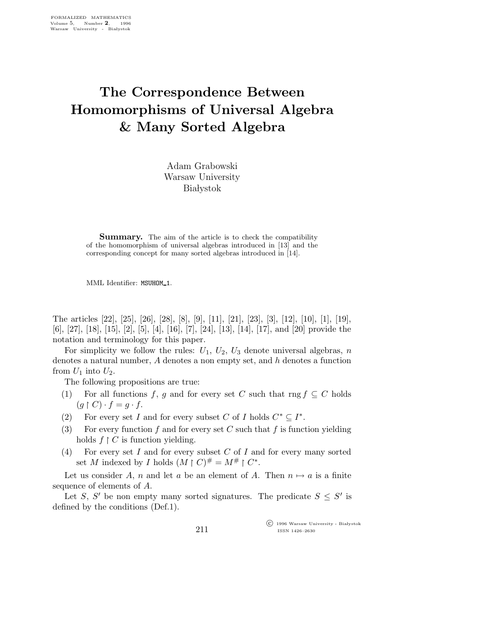## The Correspondence Between Homomorphisms of Universal Algebra & Many Sorted Algebra

Adam Grabowski Warsaw University **Białystok** 

**Summary.** The aim of the article is to check the compatibility of the homomorphism of universal algebras introduced in [13] and the corresponding concept for many sorted algebras introduced in [14].

MML Identifier: MSUHOM\_1.

The articles [22], [25], [26], [28], [8], [9], [11], [21], [23], [3], [12], [10], [1], [19], [6], [27], [18], [15], [2], [5], [4], [16], [7], [24], [13], [14], [17], and [20] provide the notation and terminology for this paper.

For simplicity we follow the rules:  $U_1$ ,  $U_2$ ,  $U_3$  denote universal algebras, n denotes a natural number, A denotes a non empty set, and h denotes a function from  $U_1$  into  $U_2$ .

The following propositions are true:

- (1) For all functions f, g and for every set C such that rng  $f \subseteq C$  holds  $(g \restriction C) \cdot f = g \cdot f$ .
- (2) For every set I and for every subset C of I holds  $C^* \subseteq I^*$ .
- (3) For every function f and for every set C such that f is function yielding holds  $f \restriction C$  is function yielding.
- (4) For every set I and for every subset C of I and for every many sorted set M indexed by I holds  $(M \rvert C)^{\#} = M^{\#} \rvert C^*$ .

Let us consider A, n and let a be an element of A. Then  $n \mapsto a$  is a finite sequence of elements of A.

Let S, S' be non empty many sorted signatures. The predicate  $S \leq S'$  is defined by the conditions (Def.1).

211

 $\overline{\text{C}}$  1996 Warsaw University - Białystok ISSN 1426–2630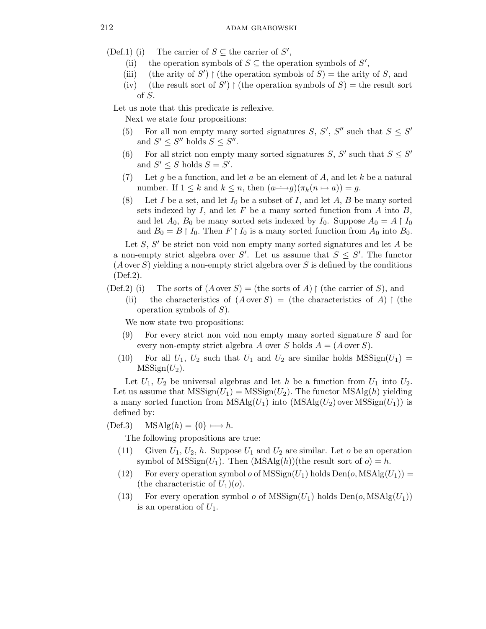(Def.1) (i) The carrier of  $S \subseteq$  the carrier of  $S'$ ,

- (ii) the operation symbols of  $S \subseteq$  the operation symbols of  $S'$ ,
- (iii) (the arity of S')  $\upharpoonright$  (the operation symbols of S) = the arity of S, and
- (iv) (the result sort of S')  $\upharpoonright$  (the operation symbols of S) = the result sort of S.

Let us note that this predicate is reflexive.

Next we state four propositions:

- (5) For all non empty many sorted signatures S, S', S'' such that  $S \leq S'$ and  $S' \leq S''$  holds  $S \leq S''$ .
- (6) For all strict non empty many sorted signatures S, S' such that  $S \leq S'$ and  $S' \leq S$  holds  $S = S'$ .
- (7) Let g be a function, and let a be an element of A, and let k be a natural number. If  $1 \leq k$  and  $k \leq n$ , then  $(a \rightarrow g)(\pi_k(n \mapsto a)) = g$ .
- (8) Let I be a set, and let  $I_0$  be a subset of I, and let A, B be many sorted sets indexed by  $I$ , and let  $F$  be a many sorted function from  $A$  into  $B$ , and let  $A_0$ ,  $B_0$  be many sorted sets indexed by  $I_0$ . Suppose  $A_0 = A \upharpoonright I_0$ and  $B_0 = B \restriction I_0$ . Then  $F \restriction I_0$  is a many sorted function from  $A_0$  into  $B_0$ .

Let  $S$ ,  $S'$  be strict non void non empty many sorted signatures and let  $A$  be a non-empty strict algebra over S'. Let us assume that  $S \leq S'$ . The functor  $(A \text{ over } S)$  yielding a non-empty strict algebra over S is defined by the conditions (Def.2).

- (Def.2) (i) The sorts of  $(A \text{ over } S) =$  (the sorts of A)  $\upharpoonright$  (the carrier of S), and
	- (ii) the characteristics of  $(A \text{ over } S) =$  (the characteristics of A)  $\upharpoonright$  (the operation symbols of  $S$ ).

We now state two propositions:

- $(9)$  For every strict non void non empty many sorted signature S and for every non-empty strict algebra A over S holds  $A = (A \overline{\mathrm{over}} S)$ .
- (10) For all  $U_1$ ,  $U_2$  such that  $U_1$  and  $U_2$  are similar holds MSSign( $U_1$ ) =  $MSSign(U_2)$ .

Let  $U_1$ ,  $U_2$  be universal algebras and let h be a function from  $U_1$  into  $U_2$ . Let us assume that  $MSSign(U_1) = MSSign(U_2)$ . The functor  $MSAlg(h)$  yielding a many sorted function from  $MSAlg(U_1)$  into  $(MSAlg(U_2)$  over  $MSSign(U_1))$  is defined by:

 $(Def.3)$   $MSAlg(h) = \{0\} \longmapsto h.$ 

The following propositions are true:

- (11) Given  $U_1, U_2, h$ . Suppose  $U_1$  and  $U_2$  are similar. Let *o* be an operation symbol of  $MSSign(U_1)$ . Then  $(MSAlg(h))($ the result sort of  $o) = h$ .
- (12) For every operation symbol  $o$  of MSSign $(U_1)$  holds  $Den(o, MSAlg(U_1)) =$ (the characteristic of  $U_1)(o)$ .
- (13) For every operation symbol  $o$  of  $MSSign(U_1)$  holds  $Den(o, MSAlg(U_1))$ is an operation of  $U_1$ .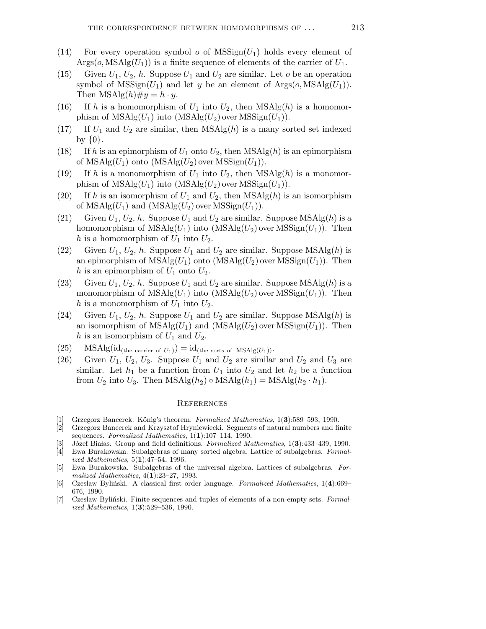- (14) For every operation symbol  $o$  of MSSign( $U_1$ ) holds every element of  $\text{Arg}(o, \text{MSAlg}(U_1))$  is a finite sequence of elements of the carrier of  $U_1$ .
- (15) Given  $U_1, U_2, h$ . Suppose  $U_1$  and  $U_2$  are similar. Let o be an operation symbol of  $MSSign(U_1)$  and let y be an element of  $Argso(0, MSAlg(U_1)).$ Then  $MSAlg(h) \# y = h \cdot y$ .
- (16) If h is a homomorphism of  $U_1$  into  $U_2$ , then  $MSAlg(h)$  is a homomorphism of  $MSAlg(U_1)$  into  $(MSAlg(U_2)$  over  $MSSign(U_1))$ .
- (17) If  $U_1$  and  $U_2$  are similar, then  $MSAlg(h)$  is a many sorted set indexed by  $\{0\}.$
- (18) If h is an epimorphism of  $U_1$  onto  $U_2$ , then  $MSAlg(h)$  is an epimorphism of  $MSAlg(U_1)$  onto  $(MSAlg(U_2)$  over  $MSSign(U_1))$ .
- (19) If h is a monomorphism of  $U_1$  into  $U_2$ , then  $MSAlg(h)$  is a monomorphism of  $MSAlg(U_1)$  into  $(MSAlg(U_2)$  over  $MSSign(U_1))$ .
- (20) If h is an isomorphism of  $U_1$  and  $U_2$ , then  $MSAlg(h)$  is an isomorphism of  $MSAlg(U_1)$  and  $(MSAlg(U_2)$  over  $MSSign(U_1)$ .
- (21) Given  $U_1, U_2, h$ . Suppose  $U_1$  and  $U_2$  are similar. Suppose MSAlg(h) is a homomorphism of  $MSAlg(U_1)$  into  $(MSAlg(U_2)$  over  $MSSign(U_1))$ . Then h is a homomorphism of  $U_1$  into  $U_2$ .
- (22) Given  $U_1, U_2, h$ . Suppose  $U_1$  and  $U_2$  are similar. Suppose MSAlg(h) is an epimorphism of  $MSAlg(U_1)$  onto  $(MSAlg(U_2)$  over  $MSSign(U_1)$ . Then h is an epimorphism of  $U_1$  onto  $U_2$ .
- (23) Given  $U_1, U_2, h$ . Suppose  $U_1$  and  $U_2$  are similar. Suppose MSAlg(h) is a monomorphism of  $MSAlg(U_1)$  into  $(MSAlg(U_2)$  over  $MSSign(U_1)$ . Then h is a monomorphism of  $U_1$  into  $U_2$ .
- (24) Given  $U_1, U_2, h$ . Suppose  $U_1$  and  $U_2$  are similar. Suppose MSAlg(h) is an isomorphism of  $MSAlg(U_1)$  and  $(MSAlg(U_2)$  over  $MSSign(U_1)$ . Then h is an isomorphism of  $U_1$  and  $U_2$ .
- (25) MSAlg(id<sub>(the carrier of  $U_1$ )) = id<sub>(the sorts of MSAlg( $U_1$ ))</sub>.</sub>
- (26) Given  $U_1$ ,  $U_2$ ,  $U_3$ . Suppose  $U_1$  and  $U_2$  are similar and  $U_2$  and  $U_3$  are similar. Let  $h_1$  be a function from  $U_1$  into  $U_2$  and let  $h_2$  be a function from  $U_2$  into  $U_3$ . Then  $MSAlg(h_2) \circ MSAlg(h_1) = MSAlg(h_2 \cdot h_1)$ .

## **REFERENCES**

- [1] Grzegorz Bancerek. König's theorem. Formalized Mathematics, 1(3):589–593, 1990.
- [2] Grzegorz Bancerek and Krzysztof Hryniewiecki. Segments of natural numbers and finite sequences. Formalized Mathematics, 1(1):107-114, 1990.
- Józef Białas. Group and field definitions. Formalized Mathematics, 1(3):433–439, 1990.
- [4] Ewa Burakowska. Subalgebras of many sorted algebra. Lattice of subalgebras. Formalized Mathematics, 5(1):47–54, 1996.
- [5] Ewa Burakowska. Subalgebras of the universal algebra. Lattices of subalgebras. Formalized Mathematics, 4(1):23–27, 1993.
- [6] Czesław Byliński. A classical first order language. Formalized Mathematics, 1(4):669– 676, 1990.
- [7] Czesław Byliński. Finite sequences and tuples of elements of a non-empty sets. Formalized Mathematics, 1(3):529–536, 1990.